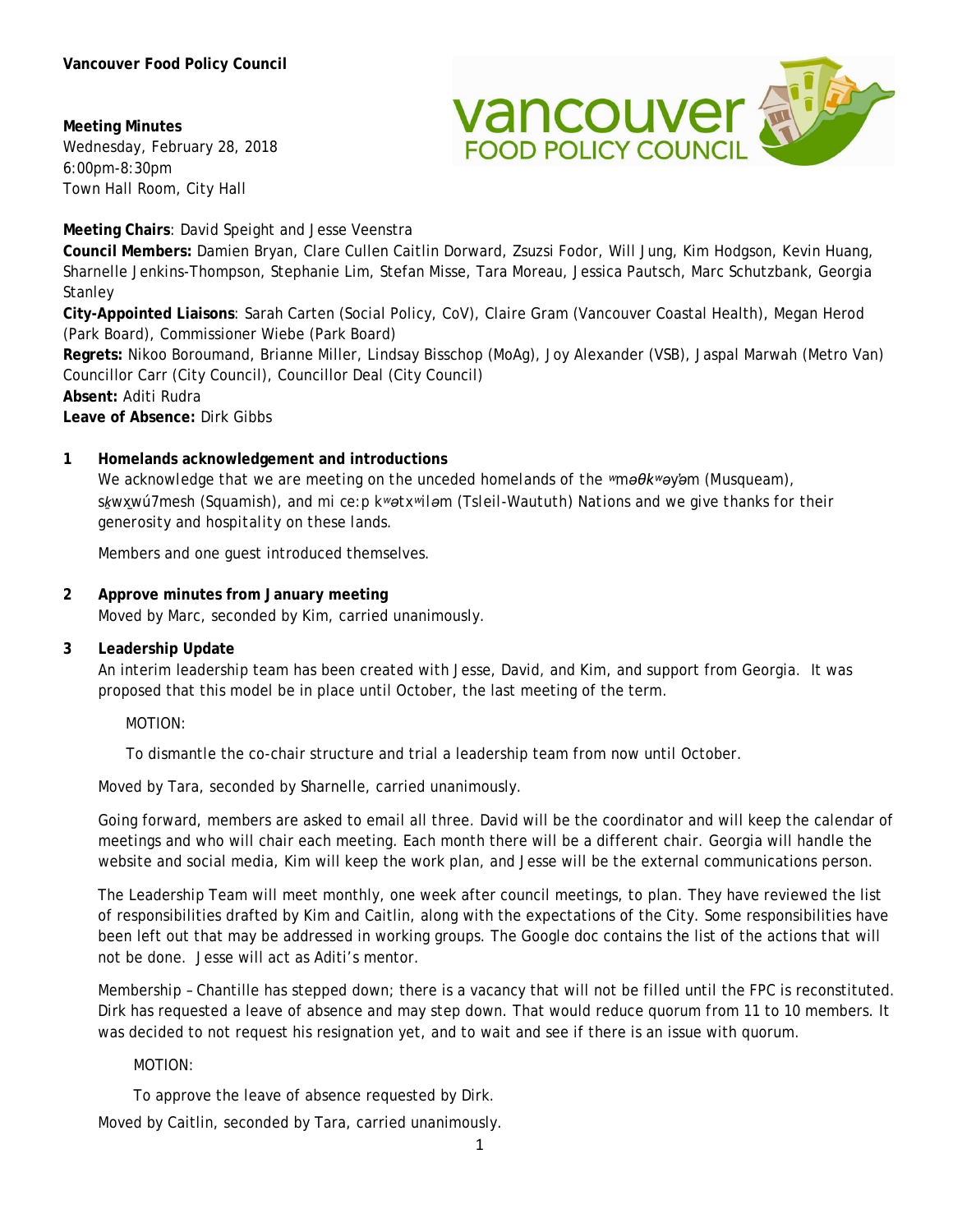**Meeting Minutes** Wednesday, February 28, 2018 6:00pm-8:30pm Town Hall Room, City Hall



**Meeting Chairs**: David Speight and Jesse Veenstra

**Council Members:** Damien Bryan, Clare Cullen Caitlin Dorward, Zsuzsi Fodor, Will Jung, Kim Hodgson, Kevin Huang, Sharnelle Jenkins-Thompson, Stephanie Lim, Stefan Misse, Tara Moreau, Jessica Pautsch, Marc Schutzbank, Georgia **Stanley** 

**City-Appointed Liaisons**: Sarah Carten (Social Policy, CoV), Claire Gram (Vancouver Coastal Health), Megan Herod (Park Board), Commissioner Wiebe (Park Board)

**Regrets:** Nikoo Boroumand, Brianne Miller, Lindsay Bisschop (MoAg), Joy Alexander (VSB), Jaspal Marwah (Metro Van) Councillor Carr (City Council), Councillor Deal (City Council)

**Absent:** Aditi Rudra

**Leave of Absence:** Dirk Gibbs

#### **1 Homelands acknowledgement and introductions**

*We acknowledge that we are meeting on the unceded homelands of the ʷməθkʷəy̓əm (Musqueam), sḵwx̱wú7mesh (Squamish), and mi ce:p kʷətxʷiləm (Tsleil-Waututh) Nations and we give thanks for their generosity and hospitality on these lands.*

Members and one guest introduced themselves.

### **2 Approve minutes from January meeting** Moved by Marc, seconded by Kim, carried unanimously.

#### **3 Leadership Update**

An interim leadership team has been created with Jesse, David, and Kim, and support from Georgia. It was proposed that this model be in place until October, the last meeting of the term.

MOTION:

To dismantle the co-chair structure and trial a leadership team from now until October.

Moved by Tara, seconded by Sharnelle, carried unanimously.

Going forward, members are asked to email all three. David will be the coordinator and will keep the calendar of meetings and who will chair each meeting. Each month there will be a different chair. Georgia will handle the website and social media, Kim will keep the work plan, and Jesse will be the external communications person.

The Leadership Team will meet monthly, one week after council meetings, to plan. They have reviewed the list of responsibilities drafted by Kim and Caitlin, along with the expectations of the City. Some responsibilities have been left out that may be addressed in working groups. The Google doc contains the list of the actions that will not be done. Jesse will act as Aditi's mentor.

Membership – Chantille has stepped down; there is a vacancy that will not be filled until the FPC is reconstituted. Dirk has requested a leave of absence and may step down. That would reduce quorum from 11 to 10 members. It was decided to not request his resignation yet, and to wait and see if there is an issue with quorum.

#### MOTION:

To approve the leave of absence requested by Dirk.

Moved by Caitlin, seconded by Tara, carried unanimously.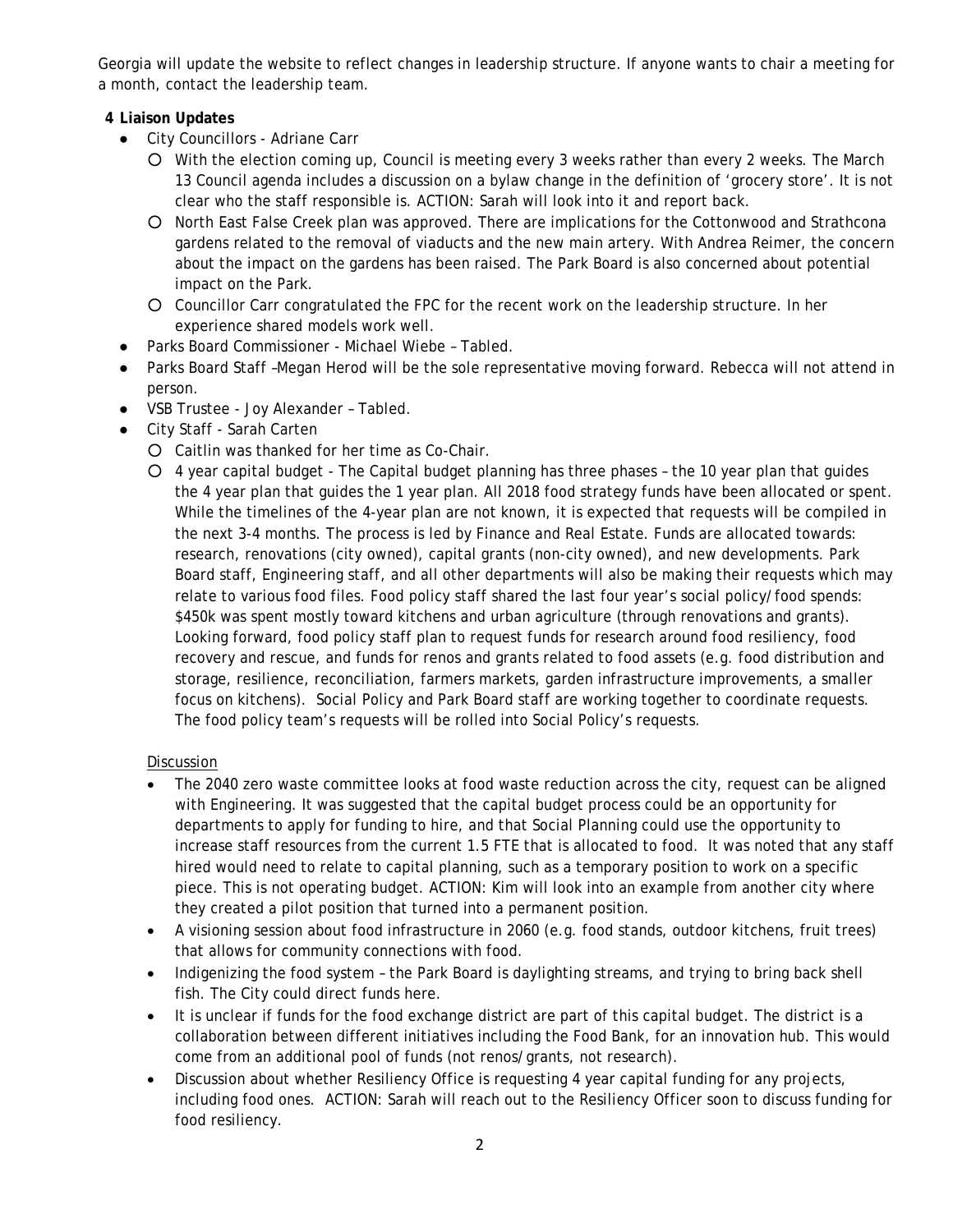Georgia will update the website to reflect changes in leadership structure. If anyone wants to chair a meeting for a month, contact the leadership team.

# **4 Liaison Updates**

- City Councillors Adriane Carr
	- With the election coming up, Council is meeting every 3 weeks rather than every 2 weeks. The March 13 Council agenda includes a discussion on a bylaw change in the definition of 'grocery store'. It is not clear who the staff responsible is. ACTION: Sarah will look into it and report back.
	- North East False Creek plan was approved. There are implications for the Cottonwood and Strathcona gardens related to the removal of viaducts and the new main artery. With Andrea Reimer, the concern about the impact on the gardens has been raised. The Park Board is also concerned about potential impact on the Park.
	- Councillor Carr congratulated the FPC for the recent work on the leadership structure. In her experience shared models work well.
- Parks Board Commissioner Michael Wiebe Tabled.
- Parks Board Staff –Megan Herod will be the sole representative moving forward. Rebecca will not attend in person.
- VSB Trustee Joy Alexander Tabled.
- City Staff Sarah Carten
	- Caitlin was thanked for her time as Co-Chair.
	- 4 year capital budget The Capital budget planning has three phases the 10 year plan that guides the 4 year plan that guides the 1 year plan. All 2018 food strategy funds have been allocated or spent. While the timelines of the 4-year plan are not known, it is expected that requests will be compiled in the next 3-4 months. The process is led by Finance and Real Estate. Funds are allocated towards: research, renovations (city owned), capital grants (non-city owned), and new developments. Park Board staff, Engineering staff, and all other departments will also be making their requests which may relate to various food files. Food policy staff shared the last four year's social policy/food spends: \$450k was spent mostly toward kitchens and urban agriculture (through renovations and grants). Looking forward, food policy staff plan to request funds for research around food resiliency, food recovery and rescue, and funds for renos and grants related to food assets (e.g. food distribution and storage, resilience, reconciliation, farmers markets, garden infrastructure improvements, a smaller focus on kitchens). Social Policy and Park Board staff are working together to coordinate requests. The food policy team's requests will be rolled into Social Policy's requests.

# **Discussion**

- The 2040 zero waste committee looks at food waste reduction across the city, request can be aligned with Engineering. It was suggested that the capital budget process could be an opportunity for departments to apply for funding to hire, and that Social Planning could use the opportunity to increase staff resources from the current 1.5 FTE that is allocated to food. It was noted that any staff hired would need to relate to capital planning, such as a temporary position to work on a specific piece. This is not operating budget. ACTION: Kim will look into an example from another city where they created a pilot position that turned into a permanent position.
- A visioning session about food infrastructure in 2060 (e.g. food stands, outdoor kitchens, fruit trees) that allows for community connections with food.
- Indigenizing the food system the Park Board is daylighting streams, and trying to bring back shell fish. The City could direct funds here.
- It is unclear if funds for the food exchange district are part of this capital budget. The district is a collaboration between different initiatives including the Food Bank, for an innovation hub. This would come from an additional pool of funds (not renos/grants, not research).
- Discussion about whether Resiliency Office is requesting 4 year capital funding for any projects, including food ones. ACTION: Sarah will reach out to the Resiliency Officer soon to discuss funding for food resiliency.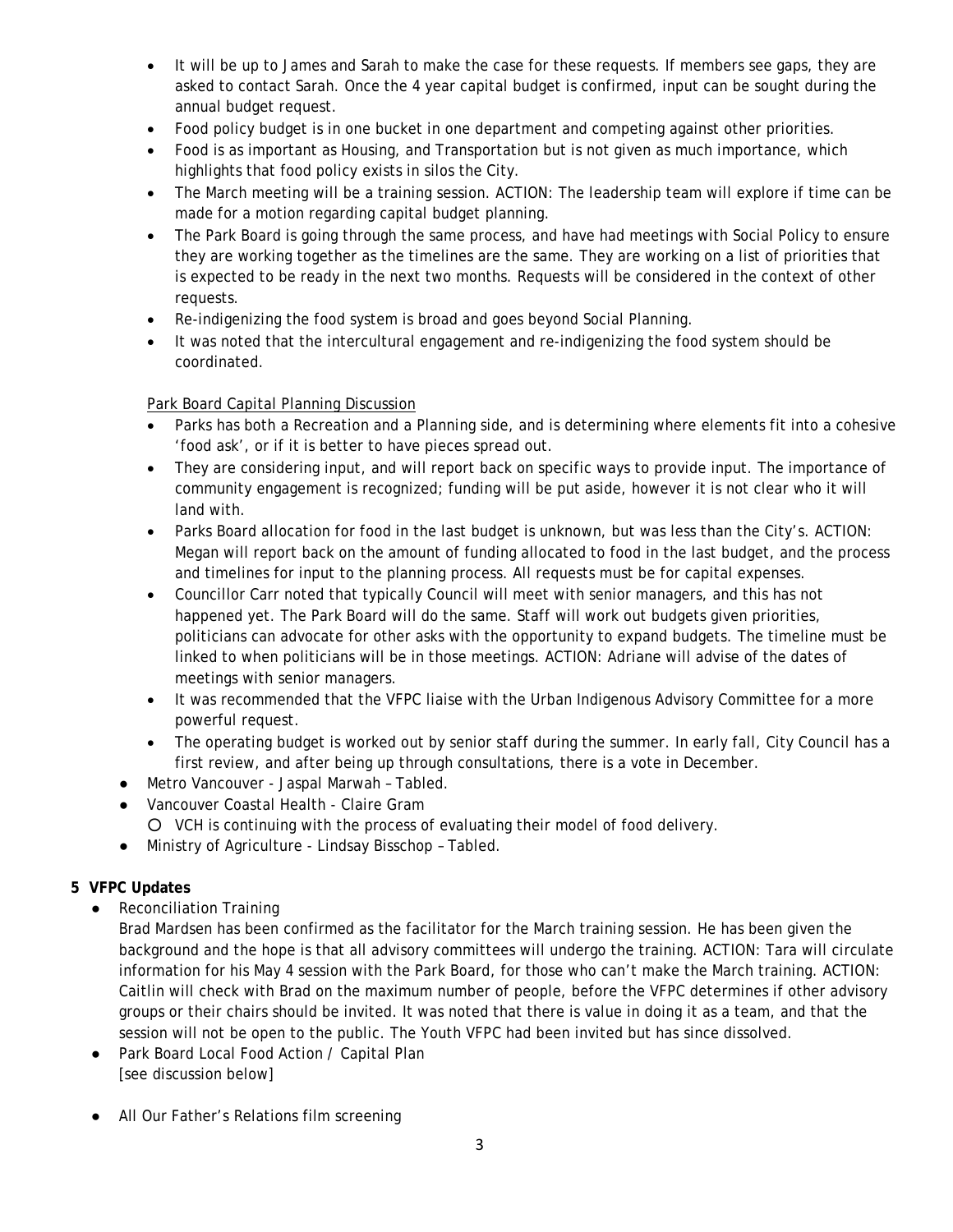- It will be up to James and Sarah to make the case for these requests. If members see gaps, they are asked to contact Sarah. Once the 4 year capital budget is confirmed, input can be sought during the annual budget request.
- Food policy budget is in one bucket in one department and competing against other priorities.
- Food is as important as Housing, and Transportation but is not given as much importance, which highlights that food policy exists in silos the City.
- The March meeting will be a training session. ACTION: The leadership team will explore if time can be made for a motion regarding capital budget planning.
- The Park Board is going through the same process, and have had meetings with Social Policy to ensure they are working together as the timelines are the same. They are working on a list of priorities that is expected to be ready in the next two months. Requests will be considered in the context of other requests.
- Re-indigenizing the food system is broad and goes beyond Social Planning.
- It was noted that the intercultural engagement and re-indigenizing the food system should be coordinated.

# Park Board Capital Planning Discussion

- Parks has both a Recreation and a Planning side, and is determining where elements fit into a cohesive 'food ask', or if it is better to have pieces spread out.
- They are considering input, and will report back on specific ways to provide input. The importance of community engagement is recognized; funding will be put aside, however it is not clear who it will land with.
- Parks Board allocation for food in the last budget is unknown, but was less than the City's. ACTION: Megan will report back on the amount of funding allocated to food in the last budget, and the process and timelines for input to the planning process. All requests must be for capital expenses.
- Councillor Carr noted that typically Council will meet with senior managers, and this has not happened yet. The Park Board will do the same. Staff will work out budgets given priorities, politicians can advocate for other asks with the opportunity to expand budgets. The timeline must be linked to when politicians will be in those meetings. ACTION: Adriane will advise of the dates of meetings with senior managers.
- It was recommended that the VFPC liaise with the Urban Indigenous Advisory Committee for a more powerful request.
- The operating budget is worked out by senior staff during the summer. In early fall, City Council has a first review, and after being up through consultations, there is a vote in December.
- Metro Vancouver Jaspal Marwah Tabled.
- Vancouver Coastal Health Claire Gram
	- VCH is continuing with the process of evaluating their model of food delivery.
- Ministry of Agriculture Lindsay Bisschop Tabled.

# **5 VFPC Updates**

● Reconciliation Training

Brad Mardsen has been confirmed as the facilitator for the March training session. He has been given the background and the hope is that all advisory committees will undergo the training. ACTION: Tara will circulate information for his May 4 session with the Park Board, for those who can't make the March training. ACTION: Caitlin will check with Brad on the maximum number of people, before the VFPC determines if other advisory groups or their chairs should be invited. It was noted that there is value in doing it as a team, and that the session will not be open to the public. The Youth VFPC had been invited but has since dissolved.

- Park Board Local Food Action / Capital Plan [see discussion below]
- All Our Father's Relations film screening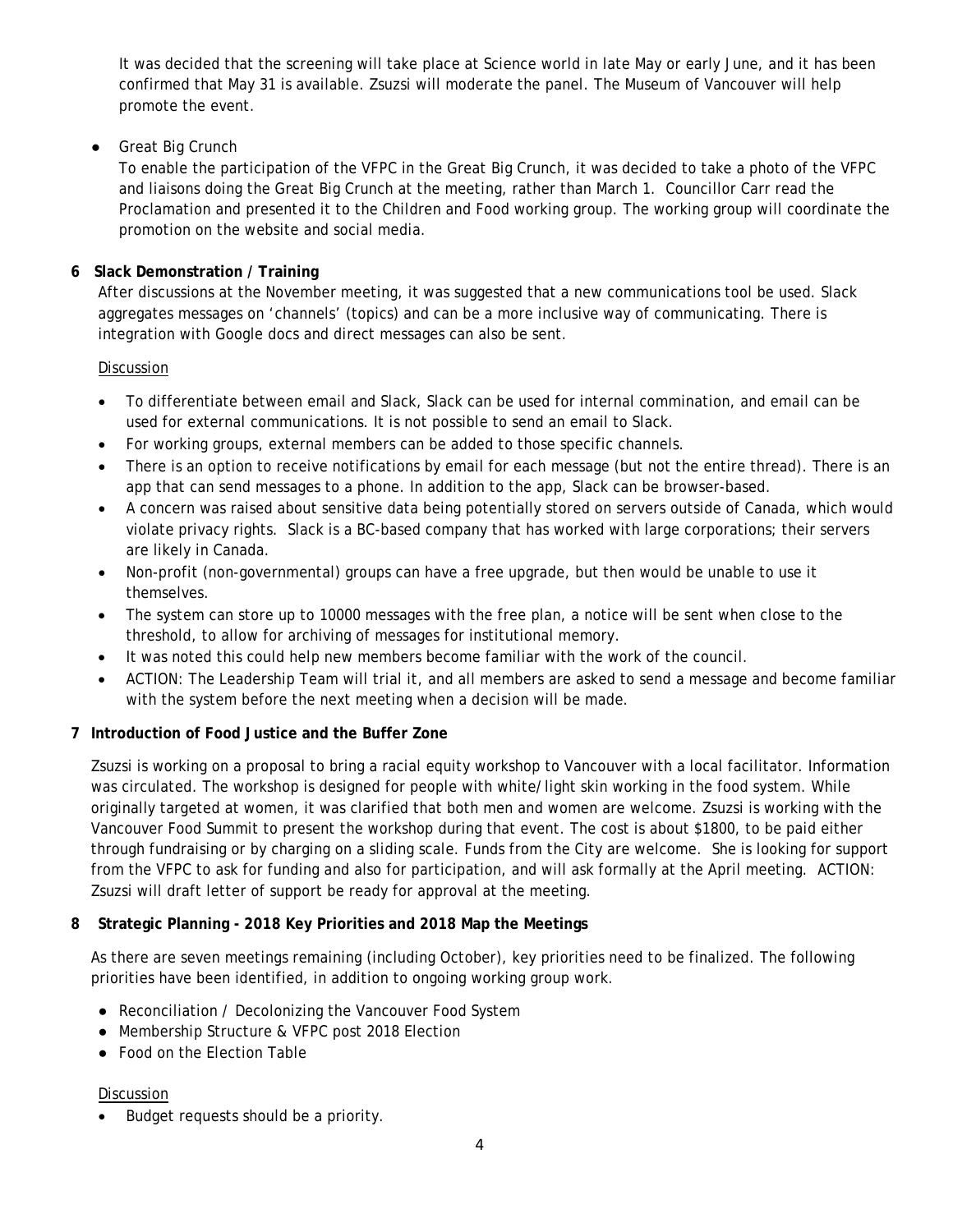It was decided that the screening will take place at Science world in late May or early June, and it has been confirmed that May 31 is available. Zsuzsi will moderate the panel. The Museum of Vancouver will help promote the event.

# ● Great Big Crunch

To enable the participation of the VFPC in the Great Big Crunch, it was decided to take a photo of the VFPC and liaisons doing the Great Big Crunch at the meeting, rather than March 1. Councillor Carr read the Proclamation and presented it to the Children and Food working group. The working group will coordinate the promotion on the website and social media.

# **6 Slack Demonstration / Training**

After discussions at the November meeting, it was suggested that a new communications tool be used. Slack aggregates messages on 'channels' (topics) and can be a more inclusive way of communicating. There is integration with Google docs and direct messages can also be sent.

# **Discussion**

- To differentiate between email and Slack, Slack can be used for internal commination, and email can be used for external communications. It is not possible to send an email to Slack.
- For working groups, external members can be added to those specific channels.
- There is an option to receive notifications by email for each message (but not the entire thread). There is an app that can send messages to a phone. In addition to the app, Slack can be browser-based.
- A concern was raised about sensitive data being potentially stored on servers outside of Canada, which would violate privacy rights. Slack is a BC-based company that has worked with large corporations; their servers are likely in Canada.
- Non-profit (non-governmental) groups can have a free upgrade, but then would be unable to use it themselves.
- The system can store up to 10000 messages with the free plan, a notice will be sent when close to the threshold, to allow for archiving of messages for institutional memory.
- It was noted this could help new members become familiar with the work of the council.
- ACTION: The Leadership Team will trial it, and all members are asked to send a message and become familiar with the system before the next meeting when a decision will be made.

# **7 Introduction of Food Justice and the Buffer Zone**

Zsuzsi is working on a proposal to bring a racial equity workshop to Vancouver with a local facilitator. Information was circulated. The workshop is designed for people with white/light skin working in the food system. While originally targeted at women, it was clarified that both men and women are welcome. Zsuzsi is working with the Vancouver Food Summit to present the workshop during that event. The cost is about \$1800, to be paid either through fundraising or by charging on a sliding scale. Funds from the City are welcome. She is looking for support from the VFPC to ask for funding and also for participation, and will ask formally at the April meeting. ACTION: Zsuzsi will draft letter of support be ready for approval at the meeting.

# **8 Strategic Planning - 2018 Key Priorities and 2018 Map the Meetings**

As there are seven meetings remaining (including October), key priorities need to be finalized. The following priorities have been identified, in addition to ongoing working group work.

- Reconciliation / Decolonizing the Vancouver Food System
- Membership Structure & VFPC post 2018 Election
- Food on the Election Table

# Discussion

• Budget requests should be a priority.